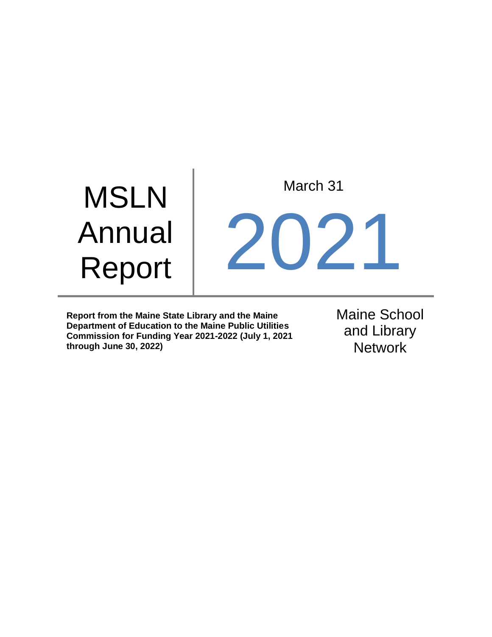# MSLN Annual Report March 31 2021

**Report from the Maine State Library and the Maine Department of Education to the Maine Public Utilities Commission for Funding Year 2021-2022 (July 1, 2021 through June 30, 2022)**

Maine School and Library **Network**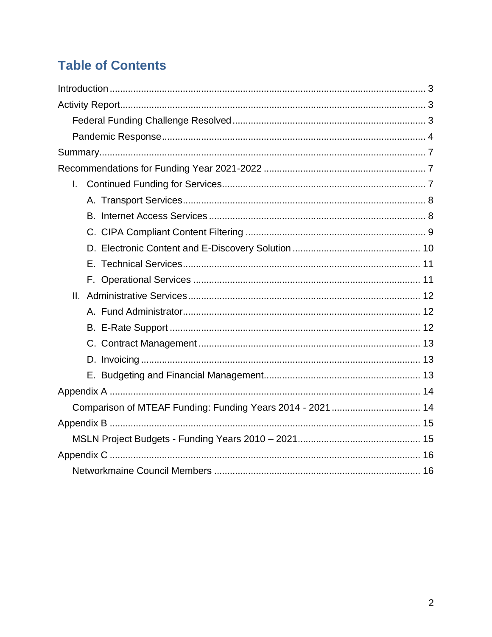# **Table of Contents**

| $\mathbf{L}$                                               |  |
|------------------------------------------------------------|--|
|                                                            |  |
|                                                            |  |
|                                                            |  |
|                                                            |  |
|                                                            |  |
|                                                            |  |
|                                                            |  |
|                                                            |  |
|                                                            |  |
|                                                            |  |
|                                                            |  |
|                                                            |  |
|                                                            |  |
| Comparison of MTEAF Funding: Funding Years 2014 - 2021  14 |  |
|                                                            |  |
|                                                            |  |
|                                                            |  |
|                                                            |  |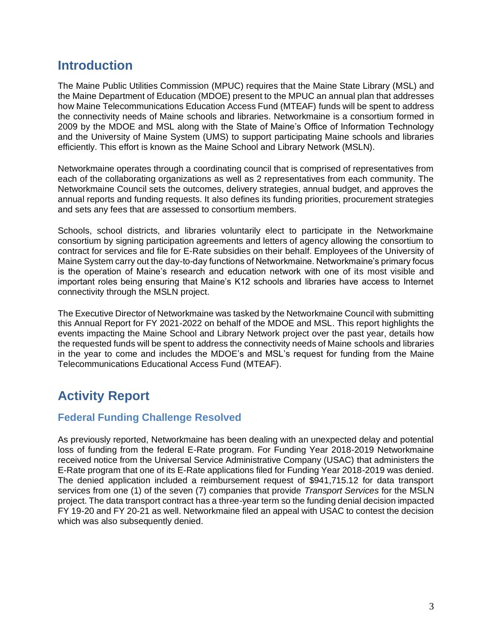# <span id="page-2-0"></span>**Introduction**

The Maine Public Utilities Commission (MPUC) requires that the Maine State Library (MSL) and the Maine Department of Education (MDOE) present to the MPUC an annual plan that addresses how Maine Telecommunications Education Access Fund (MTEAF) funds will be spent to address the connectivity needs of Maine schools and libraries. Networkmaine is a consortium formed in 2009 by the MDOE and MSL along with the State of Maine's Office of Information Technology and the University of Maine System (UMS) to support participating Maine schools and libraries efficiently. This effort is known as the Maine School and Library Network (MSLN).

Networkmaine operates through a coordinating council that is comprised of representatives from each of the collaborating organizations as well as 2 representatives from each community. The Networkmaine Council sets the outcomes, delivery strategies, annual budget, and approves the annual reports and funding requests. It also defines its funding priorities, procurement strategies and sets any fees that are assessed to consortium members.

Schools, school districts, and libraries voluntarily elect to participate in the Networkmaine consortium by signing participation agreements and letters of agency allowing the consortium to contract for services and file for E-Rate subsidies on their behalf. Employees of the University of Maine System carry out the day-to-day functions of Networkmaine. Networkmaine's primary focus is the operation of Maine's research and education network with one of its most visible and important roles being ensuring that Maine's K12 schools and libraries have access to Internet connectivity through the MSLN project.

The Executive Director of Networkmaine was tasked by the Networkmaine Council with submitting this Annual Report for FY 2021-2022 on behalf of the MDOE and MSL. This report highlights the events impacting the Maine School and Library Network project over the past year, details how the requested funds will be spent to address the connectivity needs of Maine schools and libraries in the year to come and includes the MDOE's and MSL's request for funding from the Maine Telecommunications Educational Access Fund (MTEAF).

# <span id="page-2-1"></span>**Activity Report**

# <span id="page-2-2"></span>**Federal Funding Challenge Resolved**

As previously reported, Networkmaine has been dealing with an unexpected delay and potential loss of funding from the federal E-Rate program. For Funding Year 2018-2019 Networkmaine received notice from the Universal Service Administrative Company (USAC) that administers the E-Rate program that one of its E-Rate applications filed for Funding Year 2018-2019 was denied. The denied application included a reimbursement request of \$941,715.12 for data transport services from one (1) of the seven (7) companies that provide *Transport Services* for the MSLN project. The data transport contract has a three-year term so the funding denial decision impacted FY 19-20 and FY 20-21 as well. Networkmaine filed an appeal with USAC to contest the decision which was also subsequently denied.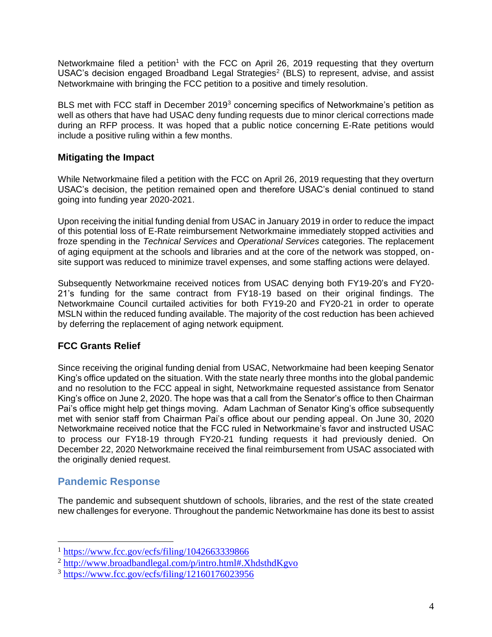Networkmaine filed a petition<sup>1</sup> with the FCC on April 26, 2019 requesting that they overturn USAC's decision engaged Broadband Legal Strategies<sup>2</sup> (BLS) to represent, advise, and assist Networkmaine with bringing the FCC petition to a positive and timely resolution.

BLS met with FCC staff in December 2019<sup>3</sup> concerning specifics of Networkmaine's petition as well as others that have had USAC deny funding requests due to minor clerical corrections made during an RFP process. It was hoped that a public notice concerning E-Rate petitions would include a positive ruling within a few months.

### **Mitigating the Impact**

While Networkmaine filed a petition with the FCC on April 26, 2019 requesting that they overturn USAC's decision, the petition remained open and therefore USAC's denial continued to stand going into funding year 2020-2021.

Upon receiving the initial funding denial from USAC in January 2019 in order to reduce the impact of this potential loss of E-Rate reimbursement Networkmaine immediately stopped activities and froze spending in the *Technical Services* and *Operational Services* categories. The replacement of aging equipment at the schools and libraries and at the core of the network was stopped, onsite support was reduced to minimize travel expenses, and some staffing actions were delayed.

Subsequently Networkmaine received notices from USAC denying both FY19-20's and FY20- 21's funding for the same contract from FY18-19 based on their original findings. The Networkmaine Council curtailed activities for both FY19-20 and FY20-21 in order to operate MSLN within the reduced funding available. The majority of the cost reduction has been achieved by deferring the replacement of aging network equipment.

# **FCC Grants Relief**

Since receiving the original funding denial from USAC, Networkmaine had been keeping Senator King's office updated on the situation. With the state nearly three months into the global pandemic and no resolution to the FCC appeal in sight, Networkmaine requested assistance from Senator King's office on June 2, 2020. The hope was that a call from the Senator's office to then Chairman Pai's office might help get things moving. Adam Lachman of Senator King's office subsequently met with senior staff from Chairman Pai's office about our pending appeal. On June 30, 2020 Networkmaine received notice that the FCC ruled in Networkmaine's favor and instructed USAC to process our FY18-19 through FY20-21 funding requests it had previously denied. On December 22, 2020 Networkmaine received the final reimbursement from USAC associated with the originally denied request.

# <span id="page-3-0"></span>**Pandemic Response**

The pandemic and subsequent shutdown of schools, libraries, and the rest of the state created new challenges for everyone. Throughout the pandemic Networkmaine has done its best to assist

<sup>1</sup> <https://www.fcc.gov/ecfs/filing/1042663339866>

<sup>2</sup> <http://www.broadbandlegal.com/p/intro.html#.XhdsthdKgvo>

<sup>3</sup> <https://www.fcc.gov/ecfs/filing/12160176023956>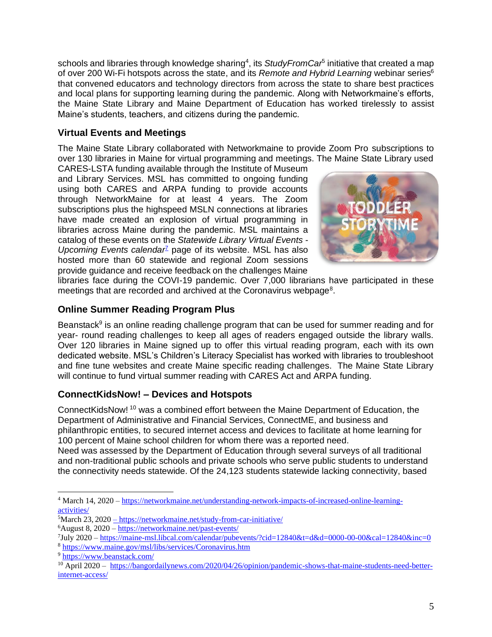schools and libraries through knowledge sharing<sup>4</sup>, its StudyFromCar<sup>5</sup> initiative that created a map of over 200 Wi-Fi hotspots across the state, and its *Remote and Hybrid Learning* webinar series<sup>6</sup> that convened educators and technology directors from across the state to share best practices and local plans for supporting learning during the pandemic. Along with Networkmaine's efforts, the Maine State Library and Maine Department of Education has worked tirelessly to assist Maine's students, teachers, and citizens during the pandemic.

# **Virtual Events and Meetings**

The Maine State Library collaborated with Networkmaine to provide Zoom Pro subscriptions to over 130 libraries in Maine for virtual programming and meetings. The Maine State Library used

CARES-LSTA funding available through the Institute of Museum and Library Services. MSL has committed to ongoing funding using both CARES and ARPA funding to provide accounts through NetworkMaine for at least 4 years. The Zoom subscriptions plus the highspeed MSLN connections at libraries have made created an explosion of virtual programming in libraries across Maine during the pandemic. MSL maintains a catalog of these events on the *Statewide Library Virtual Events - Upcoming Events calendar<sup>7</sup>* page of its website. MSL has also hosted more than 60 statewide and regional Zoom sessions provide guidance and receive feedback on the challenges Maine



libraries face during the COVI-19 pandemic. Over 7,000 librarians have participated in these meetings that are recorded and archived at the Coronavirus webpage<sup>8</sup>.

# **Online Summer Reading Program Plus**

Beanstack $9$  is an online reading challenge program that can be used for summer reading and for year- round reading challenges to keep all ages of readers engaged outside the library walls. Over 120 libraries in Maine signed up to offer this virtual reading program, each with its own dedicated website. MSL's Children's Literacy Specialist has worked with libraries to troubleshoot and fine tune websites and create Maine specific reading challenges. The Maine State Library will continue to fund virtual summer reading with CARES Act and ARPA funding.

# **ConnectKidsNow! – Devices and Hotspots**

ConnectKidsNow! <sup>10</sup> was a combined effort between the Maine Department of Education, the Department of Administrative and Financial Services, ConnectME, and business and philanthropic entities, to secured internet access and devices to facilitate at home learning for 100 percent of Maine school children for whom there was a reported need.

Need was assessed by the Department of Education through several surveys of all traditional and non-traditional public schools and private schools who serve public students to understand the connectivity needs statewide. Of the 24,123 students statewide lacking connectivity, based

<sup>4</sup> March 14, 2020 – [https://networkmaine.net/understanding-network-impacts-of-increased-online-learning](https://networkmaine.net/understanding-network-impacts-of-increased-online-learning-activities/)[activities/](https://networkmaine.net/understanding-network-impacts-of-increased-online-learning-activities/)

<sup>5</sup>March 23, 2020 – <https://networkmaine.net/study-from-car-initiative/>

<sup>6</sup>August 8, 2020 – <https://networkmaine.net/past-events/>

<sup>&</sup>lt;sup>7</sup>July 2020 – <https://maine-msl.libcal.com/calendar/pubevents/?cid=12840&t=d&d=0000-00-00&cal=12840&inc=0> <sup>8</sup> <https://www.maine.gov/msl/libs/services/Coronavirus.htm>

<sup>9</sup> <https://www.beanstack.com/>

<sup>&</sup>lt;sup>10</sup> April 2020 – [https://bangordailynews.com/2020/04/26/opinion/pandemic-shows-that-maine-students-need-better](https://bangordailynews.com/2020/04/26/opinion/pandemic-shows-that-maine-students-need-better-internet-access/)[internet-access/](https://bangordailynews.com/2020/04/26/opinion/pandemic-shows-that-maine-students-need-better-internet-access/)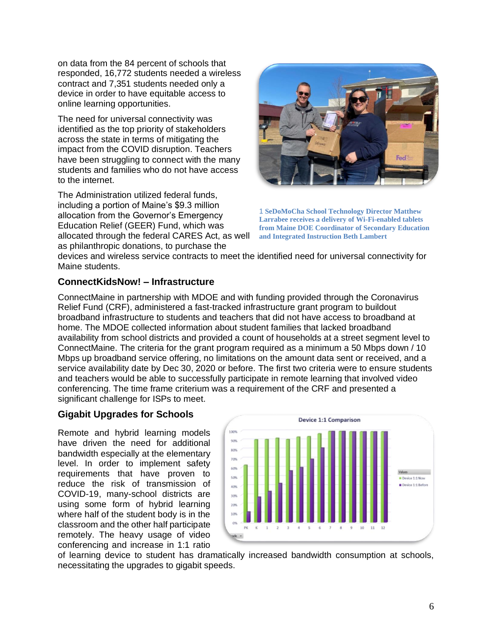on data from the 84 percent of schools that responded, 16,772 students needed a wireless contract and 7,351 students needed only a device in order to have equitable access to online learning opportunities.

The need for universal connectivity was identified as the top priority of stakeholders across the state in terms of mitigating the impact from the COVID disruption. Teachers have been struggling to connect with the many students and families who do not have access to the internet.

The Administration utilized federal funds, including a portion of Maine's \$9.3 million allocation from the Governor's Emergency Education Relief (GEER) Fund, which was allocated through the federal CARES Act, as well



1 **SeDoMoCha School Technology Director Matthew Larrabee receives a delivery of Wi-Fi-enabled tablets from Maine DOE Coordinator of Secondary Education and Integrated Instruction Beth Lambert**

devices and wireless service contracts to meet the identified need for universal connectivity for Maine students.

### **ConnectKidsNow! – Infrastructure**

as philanthropic donations, to purchase the

ConnectMaine in partnership with MDOE and with funding provided through the Coronavirus Relief Fund (CRF), administered a fast-tracked infrastructure grant program to buildout broadband infrastructure to students and teachers that did not have access to broadband at home. The MDOE collected information about student families that lacked broadband availability from school districts and provided a count of households at a street segment level to ConnectMaine. The criteria for the grant program required as a minimum a 50 Mbps down / 10 Mbps up broadband service offering, no limitations on the amount data sent or received, and a service availability date by Dec 30, 2020 or before. The first two criteria were to ensure students and teachers would be able to successfully participate in remote learning that involved video conferencing. The time frame criterium was a requirement of the CRF and presented a significant challenge for ISPs to meet.

# **Gigabit Upgrades for Schools**

Remote and hybrid learning models have driven the need for additional bandwidth especially at the elementary level. In order to implement safety requirements that have proven to reduce the risk of transmission of COVID-19, many-school districts are using some form of hybrid learning where half of the student body is in the classroom and the other half participate remotely. The heavy usage of video conferencing and increase in 1:1 ratio



of learning device to student has dramatically increased bandwidth consumption at schools, necessitating the upgrades to gigabit speeds.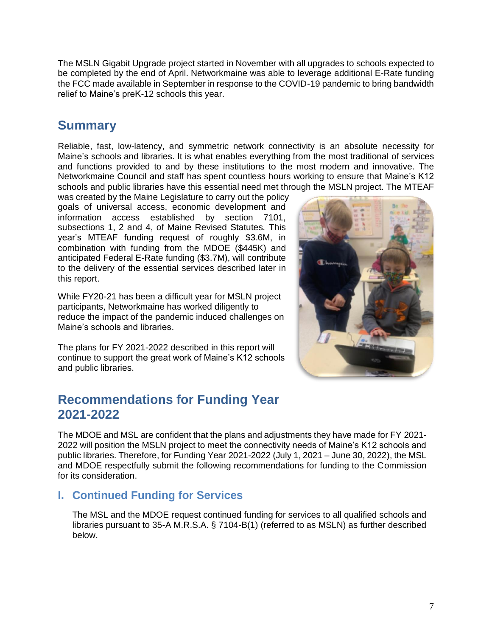The MSLN Gigabit Upgrade project started in November with all upgrades to schools expected to be completed by the end of April. Networkmaine was able to leverage additional E-Rate funding the FCC made available in September in response to the COVID-19 pandemic to bring bandwidth relief to Maine's preK-12 schools this year.

# <span id="page-6-0"></span>**Summary**

Reliable, fast, low-latency, and symmetric network connectivity is an absolute necessity for Maine's schools and libraries. It is what enables everything from the most traditional of services and functions provided to and by these institutions to the most modern and innovative. The Networkmaine Council and staff has spent countless hours working to ensure that Maine's K12 schools and public libraries have this essential need met through the MSLN project. The MTEAF

was created by the Maine Legislature to carry out the policy goals of universal access, economic development and information access established by section 7101, subsections 1, 2 and 4, of Maine Revised Statutes. This year's MTEAF funding request of roughly \$3.6M, in combination with funding from the MDOE (\$445K) and anticipated Federal E-Rate funding (\$3.7M), will contribute to the delivery of the essential services described later in this report.

While FY20-21 has been a difficult year for MSLN project participants, Networkmaine has worked diligently to reduce the impact of the pandemic induced challenges on Maine's schools and libraries.

The plans for FY 2021-2022 described in this report will continue to support the great work of Maine's K12 schools and public libraries.

# <span id="page-6-1"></span>**Recommendations for Funding Year 2021-2022**

The MDOE and MSL are confident that the plans and adjustments they have made for FY 2021- 2022 will position the MSLN project to meet the connectivity needs of Maine's K12 schools and public libraries. Therefore, for Funding Year 2021-2022 (July 1, 2021 – June 30, 2022), the MSL and MDOE respectfully submit the following recommendations for funding to the Commission for its consideration.

# <span id="page-6-2"></span>**I. Continued Funding for Services**

The MSL and the MDOE request continued funding for services to all qualified schools and libraries pursuant to 35-A M.R.S.A. § 7104-B(1) (referred to as MSLN) as further described below.

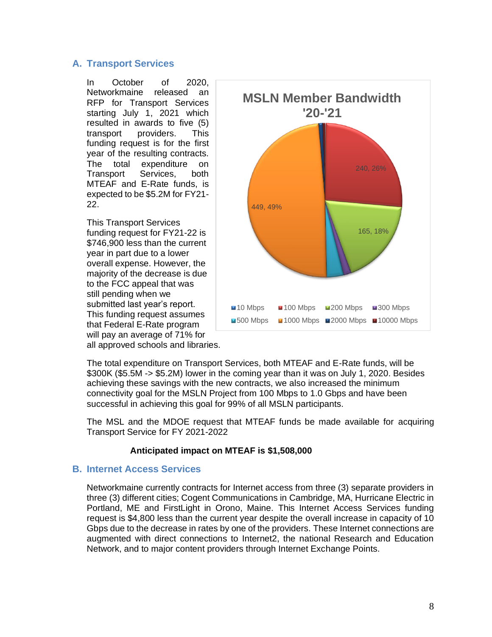#### <span id="page-7-0"></span>**A. Transport Services**

In October of 2020, Networkmaine released an RFP for Transport Services starting July 1, 2021 which resulted in awards to five (5) transport providers. This funding request is for the first year of the resulting contracts. The total expenditure on Transport Services, both MTEAF and E-Rate funds, is expected to be \$5.2M for FY21- 22.

This Transport Services funding request for FY21-22 is \$746,900 less than the current year in part due to a lower overall expense. However, the majority of the decrease is due to the FCC appeal that was still pending when we submitted last year's report. This funding request assumes that Federal E-Rate program will pay an average of 71% for



all approved schools and libraries.

The total expenditure on Transport Services, both MTEAF and E-Rate funds, will be \$300K (\$5.5M -> \$5.2M) lower in the coming year than it was on July 1, 2020. Besides achieving these savings with the new contracts, we also increased the minimum connectivity goal for the MSLN Project from 100 Mbps to 1.0 Gbps and have been successful in achieving this goal for 99% of all MSLN participants.

The MSL and the MDOE request that MTEAF funds be made available for acquiring Transport Service for FY 2021-2022

#### **Anticipated impact on MTEAF is \$1,508,000**

#### <span id="page-7-1"></span>**B. Internet Access Services**

Networkmaine currently contracts for Internet access from three (3) separate providers in three (3) different cities; Cogent Communications in Cambridge, MA, Hurricane Electric in Portland, ME and FirstLight in Orono, Maine. This Internet Access Services funding request is \$4,800 less than the current year despite the overall increase in capacity of 10 Gbps due to the decrease in rates by one of the providers. These Internet connections are augmented with direct connections to Internet2, the national Research and Education Network, and to major content providers through Internet Exchange Points.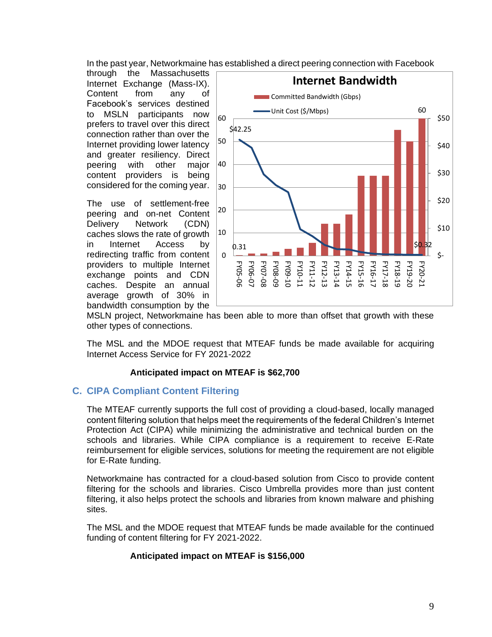In the past year, Networkmaine has established a direct peering connection with Facebook

through the Massachusetts Internet Exchange (Mass-IX). Content from any of Facebook's services destined to MSLN participants now prefers to travel over this direct connection rather than over the Internet providing lower latency and greater resiliency. Direct peering with other major content providers is being considered for the coming year.

The use of settlement-free peering and on-net Content Delivery Network (CDN) caches slows the rate of growth in Internet Access by redirecting traffic from content providers to multiple Internet exchange points and CDN caches. Despite an annual average growth of 30% in bandwidth consumption by the



MSLN project, Networkmaine has been able to more than offset that growth with these other types of connections.

The MSL and the MDOE request that MTEAF funds be made available for acquiring Internet Access Service for FY 2021-2022

#### **Anticipated impact on MTEAF is \$62,700**

#### <span id="page-8-0"></span>**C. CIPA Compliant Content Filtering**

The MTEAF currently supports the full cost of providing a cloud-based, locally managed content filtering solution that helps meet the requirements of the federal Children's Internet Protection Act (CIPA) while minimizing the administrative and technical burden on the schools and libraries. While CIPA compliance is a requirement to receive E-Rate reimbursement for eligible services, solutions for meeting the requirement are not eligible for E-Rate funding.

Networkmaine has contracted for a cloud-based solution from Cisco to provide content filtering for the schools and libraries. Cisco Umbrella provides more than just content filtering, it also helps protect the schools and libraries from known malware and phishing sites.

The MSL and the MDOE request that MTEAF funds be made available for the continued funding of content filtering for FY 2021-2022.

#### **Anticipated impact on MTEAF is \$156,000**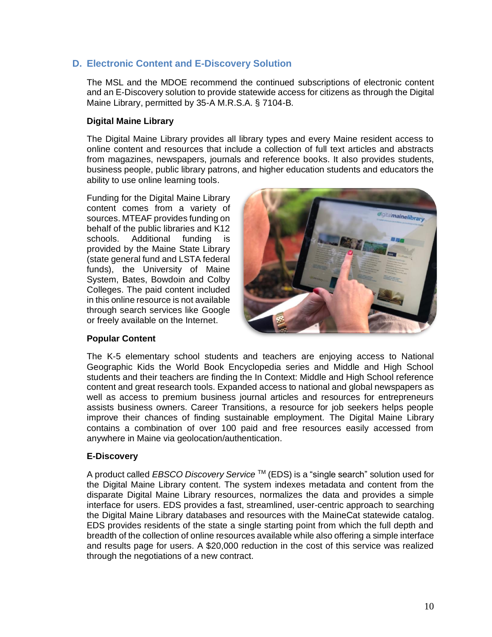### <span id="page-9-0"></span>**D. Electronic Content and E-Discovery Solution**

The MSL and the MDOE recommend the continued subscriptions of electronic content and an E-Discovery solution to provide statewide access for citizens as through the Digital Maine Library, permitted by 35-A M.R.S.A. § 7104-B.

#### **Digital Maine Library**

The Digital Maine Library provides all library types and every Maine resident access to online content and resources that include a collection of full text articles and abstracts from magazines, newspapers, journals and reference books. It also provides students, business people, public library patrons, and higher education students and educators the ability to use online learning tools.

Funding for the Digital Maine Library content comes from a variety of sources. MTEAF provides funding on behalf of the public libraries and K12 schools. Additional funding is provided by the Maine State Library (state general fund and LSTA federal funds), the University of Maine System, Bates, Bowdoin and Colby Colleges. The paid content included in this online resource is not available through search services like Google or freely available on the Internet.



#### **Popular Content**

The K-5 elementary school students and teachers are enjoying access to National Geographic Kids the World Book Encyclopedia series and Middle and High School students and their teachers are finding the In Context: Middle and High School reference content and great research tools. Expanded access to national and global newspapers as well as access to premium business journal articles and resources for entrepreneurs assists business owners. Career Transitions, a resource for job seekers helps people improve their chances of finding sustainable employment. The Digital Maine Library contains a combination of over 100 paid and free resources easily accessed from anywhere in Maine via geolocation/authentication.

#### **E-Discovery**

A product called *EBSCO Discovery Service* TM (EDS) is a "single search" solution used for the Digital Maine Library content. The system indexes metadata and content from the disparate Digital Maine Library resources, normalizes the data and provides a simple interface for users. EDS provides a fast, streamlined, user-centric approach to searching the Digital Maine Library databases and resources with the MaineCat statewide catalog. EDS provides residents of the state a single starting point from which the full depth and breadth of the collection of online resources available while also offering a simple interface and results page for users. A \$20,000 reduction in the cost of this service was realized through the negotiations of a new contract.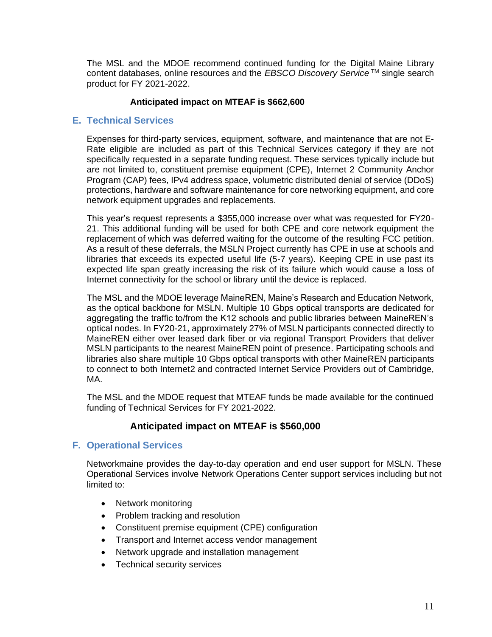The MSL and the MDOE recommend continued funding for the Digital Maine Library content databases, online resources and the *EBSCO Discovery Service*<sup>™</sup> single search product for FY 2021-2022.

#### **Anticipated impact on MTEAF is \$662,600**

#### <span id="page-10-0"></span>**E. Technical Services**

Expenses for third-party services, equipment, software, and maintenance that are not E-Rate eligible are included as part of this Technical Services category if they are not specifically requested in a separate funding request. These services typically include but are not limited to, constituent premise equipment (CPE), Internet 2 Community Anchor Program (CAP) fees, IPv4 address space, volumetric distributed denial of service (DDoS) protections, hardware and software maintenance for core networking equipment, and core network equipment upgrades and replacements.

This year's request represents a \$355,000 increase over what was requested for FY20- 21. This additional funding will be used for both CPE and core network equipment the replacement of which was deferred waiting for the outcome of the resulting FCC petition. As a result of these deferrals, the MSLN Project currently has CPE in use at schools and libraries that exceeds its expected useful life (5-7 years). Keeping CPE in use past its expected life span greatly increasing the risk of its failure which would cause a loss of Internet connectivity for the school or library until the device is replaced.

The MSL and the MDOE leverage MaineREN, Maine's Research and Education Network, as the optical backbone for MSLN. Multiple 10 Gbps optical transports are dedicated for aggregating the traffic to/from the K12 schools and public libraries between MaineREN's optical nodes. In FY20-21, approximately 27% of MSLN participants connected directly to MaineREN either over leased dark fiber or via regional Transport Providers that deliver MSLN participants to the nearest MaineREN point of presence. Participating schools and libraries also share multiple 10 Gbps optical transports with other MaineREN participants to connect to both Internet2 and contracted Internet Service Providers out of Cambridge, MA.

The MSL and the MDOE request that MTEAF funds be made available for the continued funding of Technical Services for FY 2021-2022.

#### **Anticipated impact on MTEAF is \$560,000**

#### <span id="page-10-1"></span>**F. Operational Services**

Networkmaine provides the day-to-day operation and end user support for MSLN. These Operational Services involve Network Operations Center support services including but not limited to:

- Network monitoring
- Problem tracking and resolution
- Constituent premise equipment (CPE) configuration
- Transport and Internet access vendor management
- Network upgrade and installation management
- Technical security services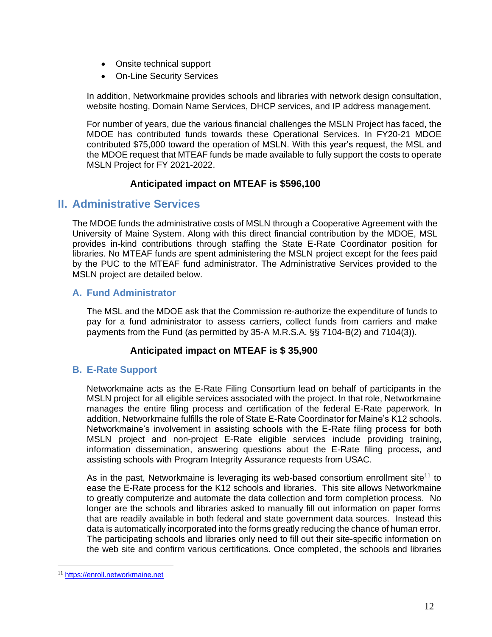- Onsite technical support
- On-Line Security Services

In addition, Networkmaine provides schools and libraries with network design consultation, website hosting, Domain Name Services, DHCP services, and IP address management.

For number of years, due the various financial challenges the MSLN Project has faced, the MDOE has contributed funds towards these Operational Services. In FY20-21 MDOE contributed \$75,000 toward the operation of MSLN. With this year's request, the MSL and the MDOE request that MTEAF funds be made available to fully support the costs to operate MSLN Project for FY 2021-2022.

#### **Anticipated impact on MTEAF is \$596,100**

# <span id="page-11-0"></span>**II. Administrative Services**

The MDOE funds the administrative costs of MSLN through a Cooperative Agreement with the University of Maine System. Along with this direct financial contribution by the MDOE, MSL provides in-kind contributions through staffing the State E-Rate Coordinator position for libraries. No MTEAF funds are spent administering the MSLN project except for the fees paid by the PUC to the MTEAF fund administrator. The Administrative Services provided to the MSLN project are detailed below.

### <span id="page-11-1"></span>**A. Fund Administrator**

The MSL and the MDOE ask that the Commission re-authorize the expenditure of funds to pay for a fund administrator to assess carriers, collect funds from carriers and make payments from the Fund (as permitted by 35-A M.R.S.A. §§ 7104-B(2) and 7104(3)).

# **Anticipated impact on MTEAF is \$ 35,900**

# <span id="page-11-2"></span>**B. E-Rate Support**

Networkmaine acts as the E-Rate Filing Consortium lead on behalf of participants in the MSLN project for all eligible services associated with the project. In that role, Networkmaine manages the entire filing process and certification of the federal E-Rate paperwork. In addition, Networkmaine fulfills the role of State E-Rate Coordinator for Maine's K12 schools. Networkmaine's involvement in assisting schools with the E-Rate filing process for both MSLN project and non-project E-Rate eligible services include providing training, information dissemination, answering questions about the E-Rate filing process, and assisting schools with Program Integrity Assurance requests from USAC.

As in the past, Networkmaine is leveraging its web-based consortium enrollment site<sup>11</sup> to ease the E-Rate process for the K12 schools and libraries. This site allows Networkmaine to greatly computerize and automate the data collection and form completion process. No longer are the schools and libraries asked to manually fill out information on paper forms that are readily available in both federal and state government data sources. Instead this data is automatically incorporated into the forms greatly reducing the chance of human error. The participating schools and libraries only need to fill out their site-specific information on the web site and confirm various certifications. Once completed, the schools and libraries

<sup>11</sup> [https://enroll.networkmaine.net](https://enroll.networkmaine.net/)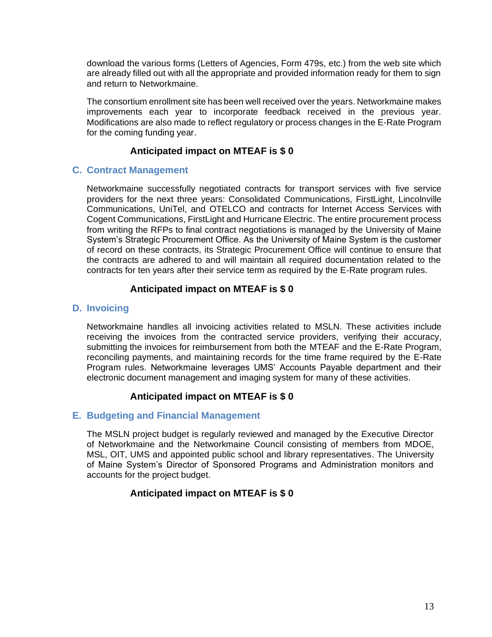download the various forms (Letters of Agencies, Form 479s, etc.) from the web site which are already filled out with all the appropriate and provided information ready for them to sign and return to Networkmaine.

The consortium enrollment site has been well received over the years. Networkmaine makes improvements each year to incorporate feedback received in the previous year. Modifications are also made to reflect regulatory or process changes in the E-Rate Program for the coming funding year.

### **Anticipated impact on MTEAF is \$ 0**

#### <span id="page-12-0"></span>**C. Contract Management**

Networkmaine successfully negotiated contracts for transport services with five service providers for the next three years: Consolidated Communications, FirstLight, Lincolnville Communications, UniTel, and OTELCO and contracts for Internet Access Services with Cogent Communications, FirstLight and Hurricane Electric. The entire procurement process from writing the RFPs to final contract negotiations is managed by the University of Maine System's Strategic Procurement Office. As the University of Maine System is the customer of record on these contracts, its Strategic Procurement Office will continue to ensure that the contracts are adhered to and will maintain all required documentation related to the contracts for ten years after their service term as required by the E-Rate program rules.

#### **Anticipated impact on MTEAF is \$ 0**

#### <span id="page-12-1"></span>**D. Invoicing**

Networkmaine handles all invoicing activities related to MSLN. These activities include receiving the invoices from the contracted service providers, verifying their accuracy, submitting the invoices for reimbursement from both the MTEAF and the E-Rate Program, reconciling payments, and maintaining records for the time frame required by the E-Rate Program rules. Networkmaine leverages UMS' Accounts Payable department and their electronic document management and imaging system for many of these activities.

#### **Anticipated impact on MTEAF is \$ 0**

#### <span id="page-12-2"></span>**E. Budgeting and Financial Management**

The MSLN project budget is regularly reviewed and managed by the Executive Director of Networkmaine and the Networkmaine Council consisting of members from MDOE, MSL, OIT, UMS and appointed public school and library representatives. The University of Maine System's Director of Sponsored Programs and Administration monitors and accounts for the project budget.

#### **Anticipated impact on MTEAF is \$ 0**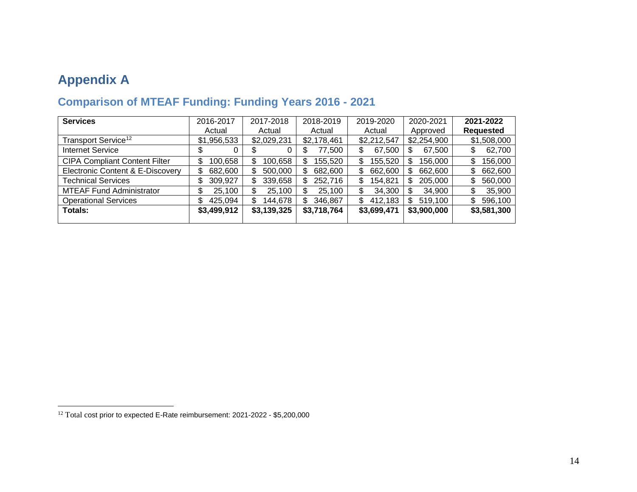# **Appendix A**

<span id="page-13-1"></span><span id="page-13-0"></span>

| <b>Services</b>                             | 2016-2017     | 2017-2018     | 2018-2019     | 2019-2020     | 2020-2021     | 2021-2022        |
|---------------------------------------------|---------------|---------------|---------------|---------------|---------------|------------------|
|                                             | Actual        | Actual        | Actual        | Actual        | Approved      | <b>Requested</b> |
| Transport Service <sup>12</sup>             | \$1,956,533   | \$2,029,231   | \$2,178,461   | \$2,212,547   | \$2,254,900   | \$1,508,000      |
| <b>Internet Service</b>                     | \$<br>0       | Φ             | 77,500<br>S   | 67,500<br>\$  | 67,500<br>S   | 62,700<br>\$     |
| <b>CIPA Compliant Content Filter</b>        | 100,658<br>\$ | 100,658<br>S  | 155,520<br>S  | 155,520<br>\$ | 156,000<br>S  | 156,000<br>\$    |
| <b>Electronic Content &amp; E-Discovery</b> | \$<br>682,600 | 500,000<br>S  | 682,600<br>\$ | \$<br>662,600 | 662,600<br>\$ | 662,600<br>S     |
| <b>Technical Services</b>                   | \$<br>309,927 | 339,658<br>S  | 252,716<br>S  | \$<br>154,821 | 205,000<br>S  | \$<br>560,000    |
| <b>MTEAF Fund Administrator</b>             | 25,100<br>\$  | 25,100<br>\$  | 25,100<br>\$  | 34,300<br>\$  | 34,900<br>S   | 35,900<br>S      |
| <b>Operational Services</b>                 | \$<br>425,094 | \$<br>144,678 | \$<br>346,867 | \$<br>412,183 | 519,100<br>S  | \$<br>596,100    |
| <b>Totals:</b>                              | \$3,499,912   | \$3,139,325   | \$3,718,764   | \$3,699,471   | \$3,900,000   | \$3,581,300      |
|                                             |               |               |               |               |               |                  |

# **Comparison of MTEAF Funding: Funding Years 2016 - 2021**

<sup>&</sup>lt;sup>12</sup> Total cost prior to expected E-Rate reimbursement: 2021-2022 - \$5,200,000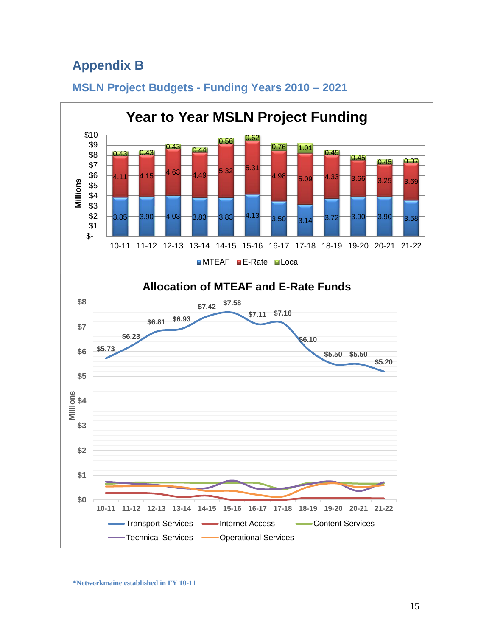# <span id="page-14-0"></span>**Appendix B**



# <span id="page-14-1"></span>**MSLN Project Budgets - Funding Years 2010 – 2021**